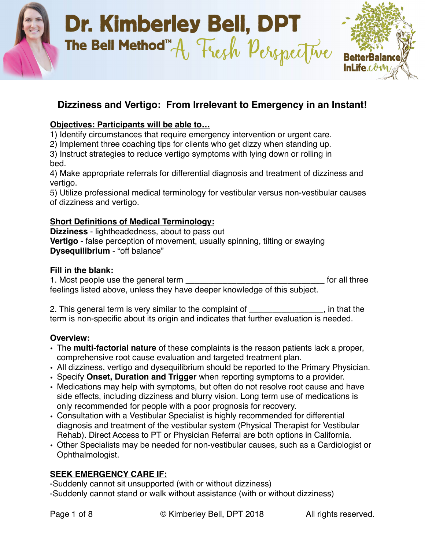# Dr. Kimberley Bell, DPT<br>The Bell Method" A Fresh Perspective



# **Dizziness and Vertigo: From Irrelevant to Emergency in an Instant!**

# **Objectives: Participants will be able to…**

1) Identify circumstances that require emergency intervention or urgent care.

2) Implement three coaching tips for clients who get dizzy when standing up.

3) Instruct strategies to reduce vertigo symptoms with lying down or rolling in bed.

4) Make appropriate referrals for differential diagnosis and treatment of dizziness and vertigo.

5) Utilize professional medical terminology for vestibular versus non-vestibular causes of dizziness and vertigo.

# **Short Definitions of Medical Terminology:**

**Dizziness** - lightheadedness, about to pass out **Vertigo** - false perception of movement, usually spinning, tilting or swaying **Dysequilibrium** - "off balance"

# **Fill in the blank:**

1. Most people use the general term \_\_\_\_\_\_\_\_\_\_\_\_\_\_\_\_\_\_\_\_\_\_\_\_\_\_\_\_\_\_ for all three feelings listed above, unless they have deeper knowledge of this subject.

2. This general term is very similar to the complaint of the state of the state of the state of the state of the state of the state of the state of the state of the state of the state of the state of the state of the state term is non-specific about its origin and indicates that further evaluation is needed.

# **Overview:**

- The **multi-factorial nature** of these complaints is the reason patients lack a proper, comprehensive root cause evaluation and targeted treatment plan.
- All dizziness, vertigo and dysequilibrium should be reported to the Primary Physician.
- Specify **Onset, Duration and Trigger** when reporting symptoms to a provider.
- Medications may help with symptoms, but often do not resolve root cause and have side effects, including dizziness and blurry vision. Long term use of medications is only recommended for people with a poor prognosis for recovery.
- Consultation with a Vestibular Specialist is highly recommended for differential diagnosis and treatment of the vestibular system (Physical Therapist for Vestibular Rehab). Direct Access to PT or Physician Referral are both options in California.
- Other Specialists may be needed for non-vestibular causes, such as a Cardiologist or Ophthalmologist.

# **SEEK EMERGENCY CARE IF:**

-Suddenly cannot sit unsupported (with or without dizziness) -Suddenly cannot stand or walk without assistance (with or without dizziness)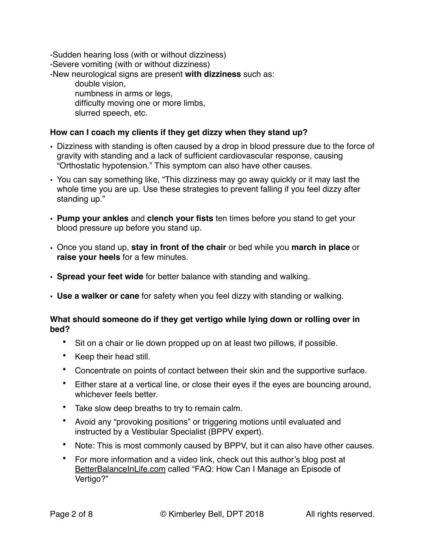-Sudden hearing loss (with or without dizziness) -Severe vomiting (with or without dizziness) -New neurological signs are present **with dizziness** such as: double vision, numbness in arms or legs, difficulty moving one or more limbs, slurred speech, etc.

#### **How can I coach my clients if they get dizzy when they stand up?**

- Dizziness with standing is often caused by a drop in blood pressure due to the force of gravity with standing and a lack of sufficient cardiovascular response, causing "Orthostatic hypotension." This symptom can also have other causes.
- You can say something like, "This dizziness may go away quickly or it may last the whole time you are up. Use these strategies to prevent falling if you feel dizzy after standing up."
- **Pump your ankles** and **clench your fists** ten times before you stand to get your blood pressure up before you stand up.
- Once you stand up, **stay in front of the chair** or bed while you **march in place** or **raise your heels** for a few minutes.
- **Spread your feet wide** for better balance with standing and walking.
- **Use a walker or cane** for safety when you feel dizzy with standing or walking.

## **What should someone do if they get vertigo while lying down or rolling over in bed?**

- Sit on a chair or lie down propped up on at least two pillows, if possible.
- Keep their head still.
- Concentrate on points of contact between their skin and the supportive surface.
- Either stare at a vertical line, or close their eyes if the eyes are bouncing around, whichever feels better.
- Take slow deep breaths to try to remain calm.
- Avoid any "provoking positions" or triggering motions until evaluated and instructed by a Vestibular Specialist (BPPV expert).
- Note: This is most commonly caused by BPPV, but it can also have other causes.
- For more information and a video link, check out this author's blog post at [BetterBalanceInLife.com](http://BetterBalanceInLife.com) called "FAQ: How Can I Manage an Episode of Vertigo?"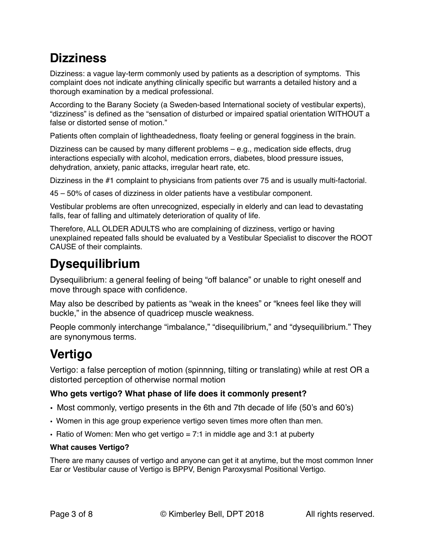# **Dizziness**

Dizziness: a vague lay-term commonly used by patients as a description of symptoms. This complaint does not indicate anything clinically specific but warrants a detailed history and a thorough examination by a medical professional.

According to the Barany Society (a Sweden-based International society of vestibular experts), "dizziness" is defined as the "sensation of disturbed or impaired spatial orientation WITHOUT a false or distorted sense of motion."

Patients often complain of lightheadedness, floaty feeling or general fogginess in the brain.

Dizziness can be caused by many different problems – e.g., medication side effects, drug interactions especially with alcohol, medication errors, diabetes, blood pressure issues, dehydration, anxiety, panic attacks, irregular heart rate, etc.

Dizziness in the #1 complaint to physicians from patients over 75 and is usually multi-factorial.

45 – 50% of cases of dizziness in older patients have a vestibular component.

Vestibular problems are often unrecognized, especially in elderly and can lead to devastating falls, fear of falling and ultimately deterioration of quality of life.

Therefore, ALL OLDER ADULTS who are complaining of dizziness, vertigo or having unexplained repeated falls should be evaluated by a Vestibular Specialist to discover the ROOT CAUSE of their complaints.

# **Dysequilibrium**

Dysequilibrium: a general feeling of being "off balance" or unable to right oneself and move through space with confidence.

May also be described by patients as "weak in the knees" or "knees feel like they will buckle," in the absence of quadricep muscle weakness.

People commonly interchange "imbalance," "disequilibrium," and "dysequilibrium." They are synonymous terms.

# **Vertigo**

Vertigo: a false perception of motion (spinnning, tilting or translating) while at rest OR a distorted perception of otherwise normal motion

# **Who gets vertigo? What phase of life does it commonly present?**

- Most commonly, vertigo presents in the 6th and 7th decade of life (50's and 60's)
- Women in this age group experience vertigo seven times more often than men.
- Ratio of Women: Men who get vertigo  $= 7:1$  in middle age and 3:1 at puberty

#### **What causes Vertigo?**

There are many causes of vertigo and anyone can get it at anytime, but the most common Inner Ear or Vestibular cause of Vertigo is BPPV, Benign Paroxysmal Positional Vertigo.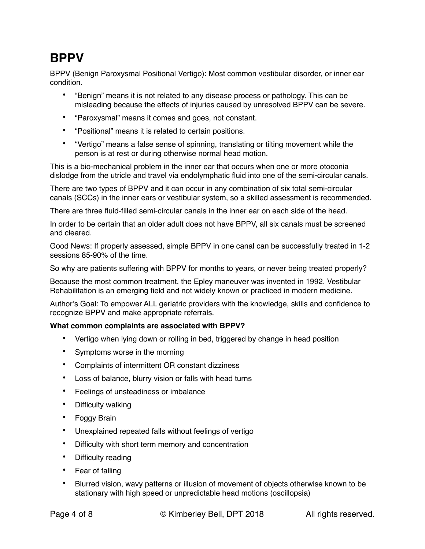# **BPPV**

BPPV (Benign Paroxysmal Positional Vertigo): Most common vestibular disorder, or inner ear condition.

- "Benign" means it is not related to any disease process or pathology. This can be misleading because the effects of injuries caused by unresolved BPPV can be severe.
- "Paroxysmal" means it comes and goes, not constant.
- "Positional" means it is related to certain positions.
- "Vertigo" means a false sense of spinning, translating or tilting movement while the person is at rest or during otherwise normal head motion.

This is a bio-mechanical problem in the inner ear that occurs when one or more otoconia dislodge from the utricle and travel via endolymphatic fluid into one of the semi-circular canals.

There are two types of BPPV and it can occur in any combination of six total semi-circular canals (SCCs) in the inner ears or vestibular system, so a skilled assessment is recommended.

There are three fluid-filled semi-circular canals in the inner ear on each side of the head.

In order to be certain that an older adult does not have BPPV, all six canals must be screened and cleared.

Good News: If properly assessed, simple BPPV in one canal can be successfully treated in 1-2 sessions 85-90% of the time.

So why are patients suffering with BPPV for months to years, or never being treated properly?

Because the most common treatment, the Epley maneuver was invented in 1992. Vestibular Rehabilitation is an emerging field and not widely known or practiced in modern medicine.

Author's Goal: To empower ALL geriatric providers with the knowledge, skills and confidence to recognize BPPV and make appropriate referrals.

#### **What common complaints are associated with BPPV?**

- Vertigo when lying down or rolling in bed, triggered by change in head position
- Symptoms worse in the morning
- Complaints of intermittent OR constant dizziness
- Loss of balance, blurry vision or falls with head turns
- Feelings of unsteadiness or imbalance
- Difficulty walking
- Foggy Brain
- Unexplained repeated falls without feelings of vertigo
- Difficulty with short term memory and concentration
- Difficulty reading
- Fear of falling
- Blurred vision, wavy patterns or illusion of movement of objects otherwise known to be stationary with high speed or unpredictable head motions (oscillopsia)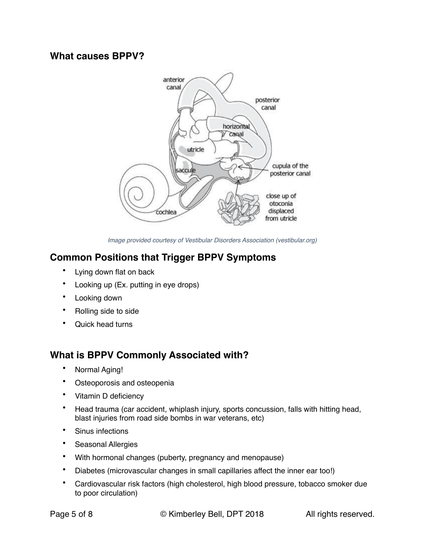# **What causes BPPV?**



*Image provided courtesy of Vestibular Disorders Association (vestibular.org)*

# **Common Positions that Trigger BPPV Symptoms**

- Lying down flat on back
- Looking up (Ex. putting in eye drops)
- Looking down
- Rolling side to side
- Quick head turns

# **What is BPPV Commonly Associated with?**

- Normal Aging!
- Osteoporosis and osteopenia
- Vitamin D deficiency
- Head trauma (car accident, whiplash injury, sports concussion, falls with hitting head, blast injuries from road side bombs in war veterans, etc)
- Sinus infections
- Seasonal Allergies
- With hormonal changes (puberty, pregnancy and menopause)
- Diabetes (microvascular changes in small capillaries affect the inner ear too!)
- Cardiovascular risk factors (high cholesterol, high blood pressure, tobacco smoker due to poor circulation)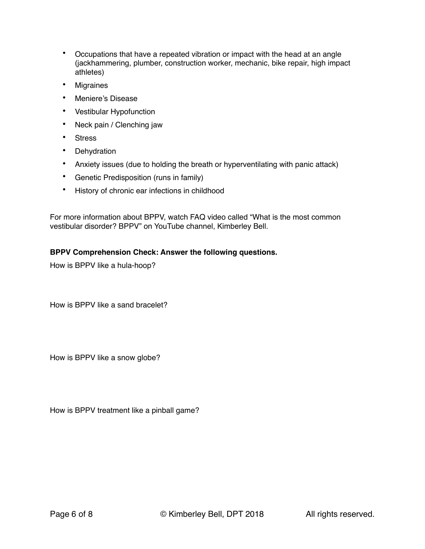- Occupations that have a repeated vibration or impact with the head at an angle (jackhammering, plumber, construction worker, mechanic, bike repair, high impact athletes)
- Migraines
- Meniere's Disease
- Vestibular Hypofunction
- Neck pain / Clenching jaw
- Stress
- Dehydration
- Anxiety issues (due to holding the breath or hyperventilating with panic attack)
- Genetic Predisposition (runs in family)
- History of chronic ear infections in childhood

For more information about BPPV, watch FAQ video called "What is the most common vestibular disorder? BPPV" on YouTube channel, Kimberley Bell.

#### **BPPV Comprehension Check: Answer the following questions.**

How is BPPV like a hula-hoop?

How is BPPV like a sand bracelet?

How is BPPV like a snow globe?

How is BPPV treatment like a pinball game?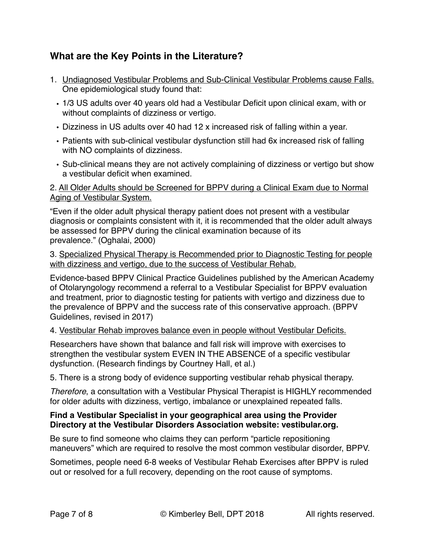# **What are the Key Points in the Literature?**

- 1. Undiagnosed Vestibular Problems and Sub-Clinical Vestibular Problems cause Falls. One epidemiological study found that:
	- 1/3 US adults over 40 years old had a Vestibular Deficit upon clinical exam, with or without complaints of dizziness or vertigo.
	- Dizziness in US adults over 40 had 12 x increased risk of falling within a year.
	- Patients with sub-clinical vestibular dysfunction still had 6x increased risk of falling with NO complaints of dizziness.
	- Sub-clinical means they are not actively complaining of dizziness or vertigo but show a vestibular deficit when examined.

#### 2. All Older Adults should be Screened for BPPV during a Clinical Exam due to Normal Aging of Vestibular System.

"Even if the older adult physical therapy patient does not present with a vestibular diagnosis or complaints consistent with it, it is recommended that the older adult always be assessed for BPPV during the clinical examination because of its prevalence." (Oghalai, 2000)

#### 3. Specialized Physical Therapy is Recommended prior to Diagnostic Testing for people with dizziness and vertigo, due to the success of Vestibular Rehab.

Evidence-based BPPV Clinical Practice Guidelines published by the American Academy of Otolaryngology recommend a referral to a Vestibular Specialist for BPPV evaluation and treatment, prior to diagnostic testing for patients with vertigo and dizziness due to the prevalence of BPPV and the success rate of this conservative approach. (BPPV Guidelines, revised in 2017)

#### 4. Vestibular Rehab improves balance even in people without Vestibular Deficits.

Researchers have shown that balance and fall risk will improve with exercises to strengthen the vestibular system EVEN IN THE ABSENCE of a specific vestibular dysfunction. (Research findings by Courtney Hall, et al.)

5. There is a strong body of evidence supporting vestibular rehab physical therapy.

*Therefore*, a consultation with a Vestibular Physical Therapist is HIGHLY recommended for older adults with dizziness, vertigo, imbalance or unexplained repeated falls.

## **Find a Vestibular Specialist in your geographical area using the Provider Directory at the Vestibular Disorders Association website: vestibular.org.**

Be sure to find someone who claims they can perform "particle repositioning maneuvers" which are required to resolve the most common vestibular disorder, BPPV.

Sometimes, people need 6-8 weeks of Vestibular Rehab Exercises after BPPV is ruled out or resolved for a full recovery, depending on the root cause of symptoms.